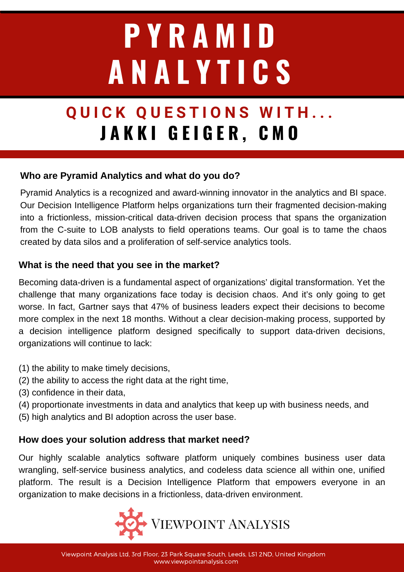# **P Y R A M I D A N A L Y T I C S**

# **Q U I C K Q U E S T I O N S W I T H . . . J A K K I G E I G E R , C M O**

## **Who are Pyramid Analytics and what do you do?**

Pyramid Analytics is a recognized and award-winning innovator in the analytics and BI space. Our Decision Intelligence Platform helps organizations turn their fragmented decision-making into a frictionless, mission-critical data-driven decision process that spans the organization from the C-suite to LOB analysts to field operations teams. Our goal is to tame the chaos created by data silos and a proliferation of self-service analytics tools.

### **What is the need that you see in the market?**

Becoming data-driven is a fundamental aspect of organizations' digital transformation. Yet the challenge that many organizations face today is decision chaos. And it's only going to get worse. In fact, Gartner says that 47% of business leaders expect their decisions to become more complex in the next 18 months. Without a clear decision-making process, supported by a decision intelligence platform designed specifically to support data-driven decisions, organizations will continue to lack:

- (1) the ability to make timely decisions,
- (2) the ability to access the right data at the right time,
- (3) confidence in their data,
- (4) proportionate investments in data and analytics that keep up with business needs, and
- (5) high analytics and BI adoption across the user base.

### **How does your solution address that market need?**

Our highly scalable analytics software platform uniquely combines business user data wrangling, self-service business analytics, and codeless data science all within one, unified platform. The result is a Decision Intelligence Platform that empowers everyone in an organization to make decisions in a frictionless, data-driven environment.